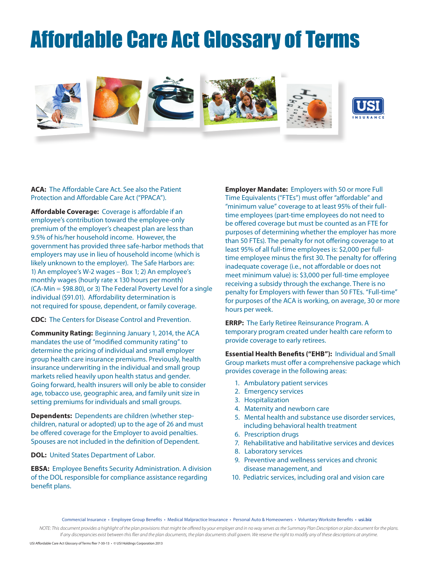## Affordable Care Act Glossary of Terms



**ACA:** The Affordable Care Act. See also the Patient Protection and Affordable Care Act ("PPACA").

**Affordable Coverage:** Coverage is affordable if an employee's contribution toward the employee-only premium of the employer's cheapest plan are less than 9.5% of his/her household income. However, the government has provided three safe-harbor methods that employers may use in lieu of household income (which is likely unknown to the employer). The Safe Harbors are: 1) An employee's W-2 wages – Box 1; 2) An employee's monthly wages (hourly rate x 130 hours per month) (CA-Min = \$98.80), or 3) The Federal Poverty Level for a single individual (\$91.01). Affordability determination is not required for spouse, dependent, or family coverage.

**CDC:** The Centers for Disease Control and Prevention.

**Community Rating:** Beginning January 1, 2014, the ACA mandates the use of "modified community rating" to determine the pricing of individual and small employer group health care insurance premiums. Previously, health insurance underwriting in the individual and small group markets relied heavily upon health status and gender. Going forward, health insurers will only be able to consider age, tobacco use, geographic area, and family unit size in setting premiums for individuals and small groups.

**Dependents:** Dependents are children (whether stepchildren, natural or adopted) up to the age of 26 and must be offered coverage for the Employer to avoid penalties. Spouses are not included in the definition of Dependent.

**DOL:** United States Department of Labor.

**EBSA:** Employee Benefits Security Administration. A division of the DOL responsible for compliance assistance regarding benefit plans.

**Employer Mandate:** Employers with 50 or more Full Time Equivalents ("FTEs") must offer "affordable" and "minimum value" coverage to at least 95% of their fulltime employees (part-time employees do not need to be offered coverage but must be counted as an FTE for purposes of determining whether the employer has more than 50 FTEs). The penalty for not offering coverage to at least 95% of all full-time employees is: \$2,000 per fulltime employee minus the first 30. The penalty for offering inadequate coverage (i.e., not affordable or does not meet minimum value) is: \$3,000 per full-time employee receiving a subsidy through the exchange. There is no penalty for Employers with fewer than 50 FTEs. "Full-time" for purposes of the ACA is working, on average, 30 or more hours per week.

**ERRP:** The Early Retiree Reinsurance Program. A temporary program created under health care reform to provide coverage to early retirees.

**Essential Health Benefits ("EHB"):** Individual and Small Group markets must offer a comprehensive package which provides coverage in the following areas:

- 1. Ambulatory patient services
- 2. Emergency services
- 3. Hospitalization
- 4. Maternity and newborn care
- 5. Mental health and substance use disorder services, including behavioral health treatment
- 6. Prescription drugs
- 7. Rehabilitative and habilitative services and devices
- 8. Laboratory services
- 9. Preventive and wellness services and chronic disease management, and
- 10. Pediatric services, including oral and vision care

Commercial Insurance • Employee Group Benefits • Medical Malpractice Insurance • Personal Auto & Homeowners • Voluntary Worksite Benefits • **usi.biz**

*NOTE: This document provides a highlight of the plan provisions that might be offered by your employer and in no way serves as the Summary Plan Description or plan document for the plans. If any discrepancies exist between this flier and the plan documents, the plan documents shall govern. We reserve the right to modify any of these descriptions at anytime.*